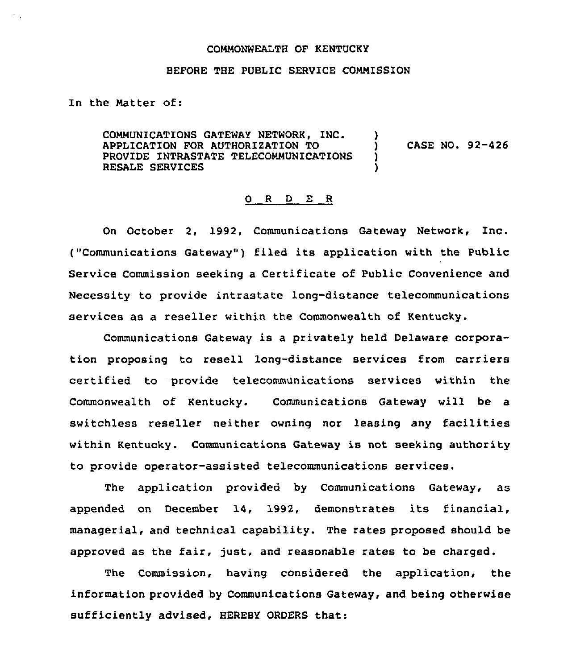## COMMONWEALTH QF KENTUCKY

## BEFORE THE PUBLIC SERVICE COMMISSION

## In the Matter of:

COMMUNICATIONS GATEWAY NETWORK, INC. APPLICATION FOR AUTHORIZATION TO PROVIDE INTRASTATE TELECOMMUNICATIONS RESALE SERVICES ) ) CASE NO. 92-426 ) )

## 0 R <sup>D</sup> E R

On October 2, 1992, Communications Gateway Network, inc. ("Communications Gateway" ) filed its application with the Public Service Commission seeking a Certificate of Public Convenience and Necessity to provide intrastate long-distance telecommunications services as a reseller within the Commonwealth of Kentucky.

Communications Gateway is a privately held Delaware corporation proposing to resell lang-distance services from carriers certified to provide telecommunications services within the Commonwealth of Kentucky. Communications Gateway will be a switchless reseller neither owning nor leasing any facilities within Kentucky. Communications Gateway is not seeking authority to provide operator-assisted telecommunications services.

The application provided by Communications Gateway, as appended on December 14, 1992, demonstrates its financial, managerial, and technical capability. The rates proposed should be approved as the fair, just, and reasonable rates to be charged.

The Commission, having considered the application, the information provided by Communications Gateway, and being otherwise sufficiently advised, HEREBY ORDERS that: